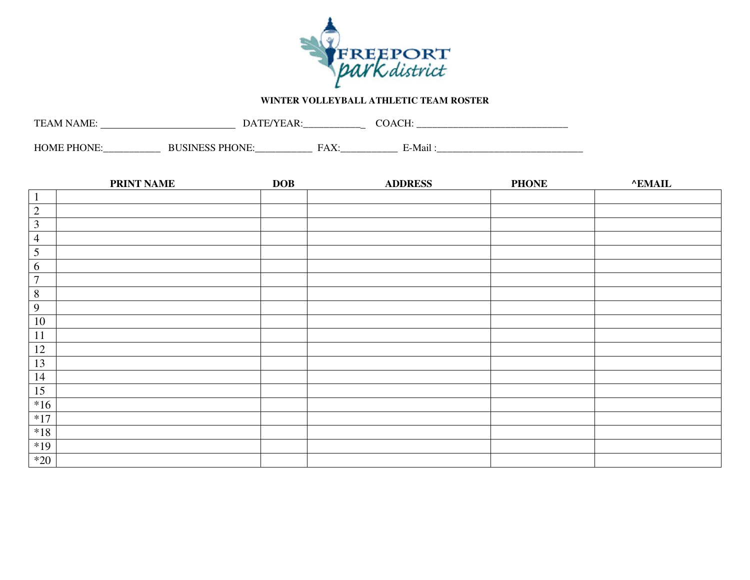

## **WINTER VOLLEYBALL ATHLETIC TEAM ROSTER**

| TE.<br>AN H<br>$\Delta$ N/I<br>- IN - |               | ______________             | ິ            |  |
|---------------------------------------|---------------|----------------------------|--------------|--|
| . HC<br>، ⊔ں<br>IM H                  | _____________ | L' A<br>.<br>_____________ | ы.<br>⊸-Ma•' |  |

|                  | <b>PRINT NAME</b> | <b>DOB</b> | <b>ADDRESS</b> | <b>PHONE</b> | <b>^EMAIL</b> |
|------------------|-------------------|------------|----------------|--------------|---------------|
| $\mathbf{1}$     |                   |            |                |              |               |
| $\overline{2}$   |                   |            |                |              |               |
| $\mathfrak{Z}$   |                   |            |                |              |               |
| $\overline{4}$   |                   |            |                |              |               |
| $\sqrt{5}$       |                   |            |                |              |               |
| 6                |                   |            |                |              |               |
| $\boldsymbol{7}$ |                   |            |                |              |               |
| $\overline{8}$   |                   |            |                |              |               |
| $\overline{9}$   |                   |            |                |              |               |
| 10               |                   |            |                |              |               |
| 11               |                   |            |                |              |               |
| 12               |                   |            |                |              |               |
| 13               |                   |            |                |              |               |
| 14               |                   |            |                |              |               |
| 15               |                   |            |                |              |               |
| $*16$            |                   |            |                |              |               |
| $*17$            |                   |            |                |              |               |
| $*18$            |                   |            |                |              |               |
| $*19$            |                   |            |                |              |               |
| $*20$            |                   |            |                |              |               |